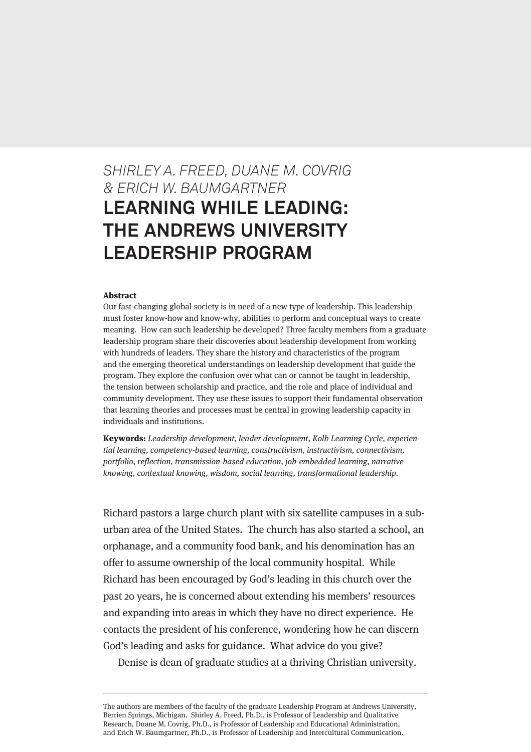# *SHIRLEY A. FREED, DUANE M. COVRIG & ERICH W. BAUMGARTNER* **LEARNING WHILE LEADING: THE ANDREWS UNIVERSITY LEADERSHIP PROGRAM**

#### Abstract

Our fast-changing global society is in need of a new type of leadership. This leadership must foster know-how and know-why, abilities to perform and conceptual ways to create meaning. How can such leadership be developed? Three faculty members from a graduate leadership program share their discoveries about leadership development from working with hundreds of leaders. They share the history and characteristics of the program and the emerging theoretical understandings on leadership development that guide the program. They explore the confusion over what can or cannot be taught in leadership, the tension between scholarship and practice, and the role and place of individual and community development. They use these issues to support their fundamental observation that learning theories and processes must be central in growing leadership capacity in individuals and institutions.

Keywords: Leadership development, leader development, Kolb Learning Cycle, experiential learning, competency-based learning, constructivism, instructivism, connectivism, portfolio, reflection, transmission-based education, job-embedded learning, narrative knowing, contextual knowing, wisdom, social learning, transformational leadership.

Richard pastors a large church plant with six satellite campuses in a suburban area of the United States. The church has also started a school, an orphanage, and a community food bank, and his denomination has an offer to assume ownership of the local community hospital. While Richard has been encouraged by God's leading in this church over the past 20 years, he is concerned about extending his members' resources and expanding into areas in which they have no direct experience. He contacts the president of his conference, wondering how he can discern God's leading and asks for guidance. What advice do you give?

Denise is dean of graduate studies at a thriving Christian university.

The authors are members of the faculty of the graduate Leadership Program at Andrews University, Berrien Springs, Michigan. Shirley A. Freed, Ph.D., is Professor of Leadership and Qualitative Research, Duane M. Covrig, Ph.D., is Professor of Leadership and Educational Administration, and Erich W. Baumgartner, Ph.D., is Professor of Leadership and Intercultural Communication.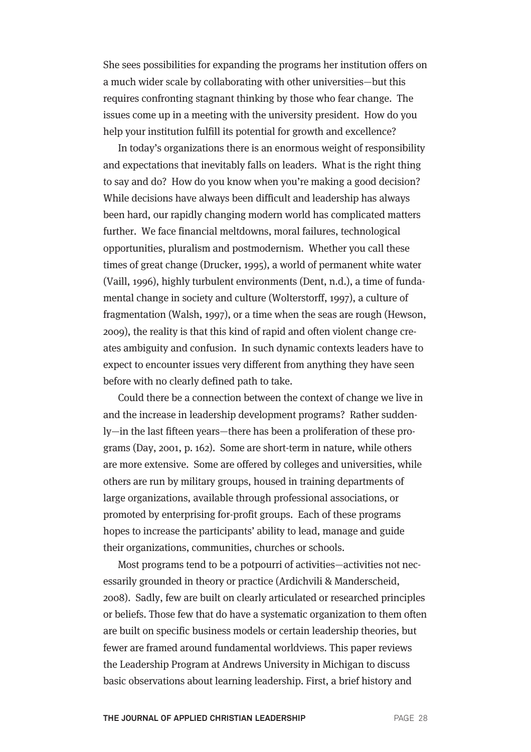She sees possibilities for expanding the programs her institution offers on a much wider scale by collaborating with other universities—but this requires confronting stagnant thinking by those who fear change. The issues come up in a meeting with the university president. How do you help your institution fulfill its potential for growth and excellence?

In today's organizations there is an enormous weight of responsibility and expectations that inevitably falls on leaders. What is the right thing to say and do? How do you know when you're making a good decision? While decisions have always been difficult and leadership has always been hard, our rapidly changing modern world has complicated matters further. We face financial meltdowns, moral failures, technological opportunities, pluralism and postmodernism. Whether you call these times of great change (Drucker, 1995), a world of permanent white water (Vaill, 1996), highly turbulent environments (Dent, n.d.), a time of fundamental change in society and culture (Wolterstorff, 1997), a culture of fragmentation (Walsh, 1997), or a time when the seas are rough (Hewson, 2009), the reality is that this kind of rapid and often violent change creates ambiguity and confusion. In such dynamic contexts leaders have to expect to encounter issues very different from anything they have seen before with no clearly defined path to take.

Could there be a connection between the context of change we live in and the increase in leadership development programs? Rather suddenly—in the last fifteen years—there has been a proliferation of these programs (Day, 2001, p. 162). Some are short-term in nature, while others are more extensive. Some are offered by colleges and universities, while others are run by military groups, housed in training departments of large organizations, available through professional associations, or promoted by enterprising for-profit groups. Each of these programs hopes to increase the participants' ability to lead, manage and guide their organizations, communities, churches or schools.

Most programs tend to be a potpourri of activities—activities not necessarily grounded in theory or practice (Ardichvili & Manderscheid, 2008). Sadly, few are built on clearly articulated or researched principles or beliefs. Those few that do have a systematic organization to them often are built on specific business models or certain leadership theories, but fewer are framed around fundamental worldviews. This paper reviews the Leadership Program at Andrews University in Michigan to discuss basic observations about learning leadership. First, a brief history and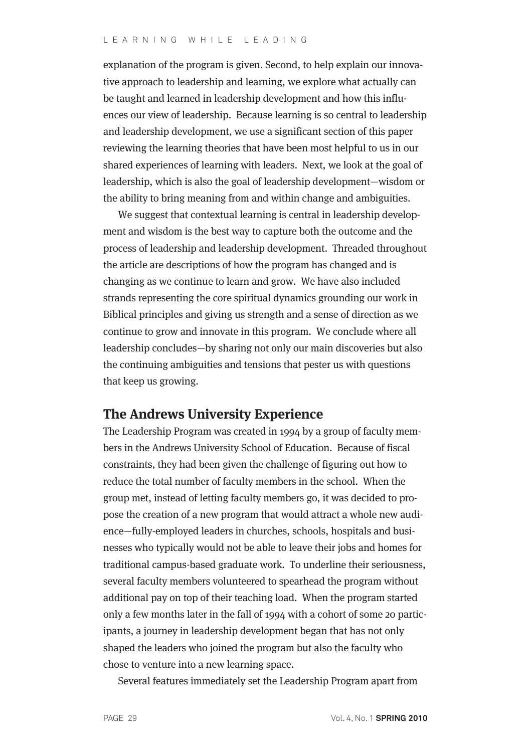explanation of the program is given. Second, to help explain our innovative approach to leadership and learning, we explore what actually can be taught and learned in leadership development and how this influences our view of leadership. Because learning is so central to leadership and leadership development, we use a significant section of this paper reviewing the learning theories that have been most helpful to us in our shared experiences of learning with leaders. Next, we look at the goal of leadership, which is also the goal of leadership development—wisdom or the ability to bring meaning from and within change and ambiguities.

We suggest that contextual learning is central in leadership development and wisdom is the best way to capture both the outcome and the process of leadership and leadership development. Threaded throughout the article are descriptions of how the program has changed and is changing as we continue to learn and grow. We have also included strands representing the core spiritual dynamics grounding our work in Biblical principles and giving us strength and a sense of direction as we continue to grow and innovate in this program. We conclude where all leadership concludes—by sharing not only our main discoveries but also the continuing ambiguities and tensions that pester us with questions that keep us growing.

#### **The Andrews University Experience**

The Leadership Program was created in 1994 by a group of faculty members in the Andrews University School of Education. Because of fiscal constraints, they had been given the challenge of figuring out how to reduce the total number of faculty members in the school. When the group met, instead of letting faculty members go, it was decided to propose the creation of a new program that would attract a whole new audience—fully-employed leaders in churches, schools, hospitals and businesses who typically would not be able to leave their jobs and homes for traditional campus-based graduate work. To underline their seriousness, several faculty members volunteered to spearhead the program without additional pay on top of their teaching load. When the program started only a few months later in the fall of 1994 with a cohort of some 20 participants, a journey in leadership development began that has not only shaped the leaders who joined the program but also the faculty who chose to venture into a new learning space.

Several features immediately set the Leadership Program apart from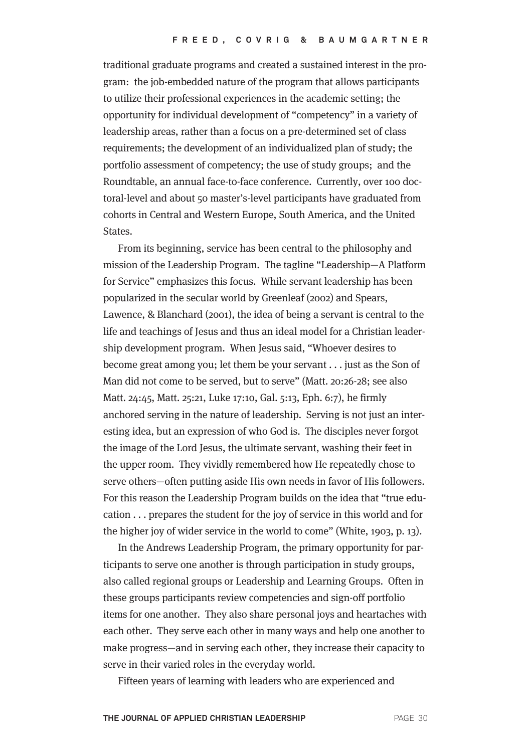traditional graduate programs and created a sustained interest in the program: the job-embedded nature of the program that allows participants to utilize their professional experiences in the academic setting; the opportunity for individual development of "competency" in a variety of leadership areas, rather than a focus on a pre-determined set of class requirements; the development of an individualized plan of study; the portfolio assessment of competency; the use of study groups; and the Roundtable, an annual face-to-face conference. Currently, over 100 doctoral-level and about 50 master's-level participants have graduated from cohorts in Central and Western Europe, South America, and the United States.

From its beginning, service has been central to the philosophy and mission of the Leadership Program. The tagline "Leadership—A Platform for Service" emphasizes this focus. While servant leadership has been popularized in the secular world by Greenleaf (2002) and Spears, Lawence, & Blanchard (2001), the idea of being a servant is central to the life and teachings of Jesus and thus an ideal model for a Christian leadership development program. When Jesus said, "Whoever desires to become great among you; let them be your servant . . . just as the Son of Man did not come to be served, but to serve" (Matt. 20:26-28; see also Matt. 24:45, Matt. 25:21, Luke 17:10, Gal. 5:13, Eph. 6:7), he firmly anchored serving in the nature of leadership. Serving is not just an interesting idea, but an expression of who God is. The disciples never forgot the image of the Lord Jesus, the ultimate servant, washing their feet in the upper room. They vividly remembered how He repeatedly chose to serve others—often putting aside His own needs in favor of His followers. For this reason the Leadership Program builds on the idea that "true education . . . prepares the student for the joy of service in this world and for the higher joy of wider service in the world to come" (White, 1903, p. 13).

In the Andrews Leadership Program, the primary opportunity for participants to serve one another is through participation in study groups, also called regional groups or Leadership and Learning Groups. Often in these groups participants review competencies and sign-off portfolio items for one another. They also share personal joys and heartaches with each other. They serve each other in many ways and help one another to make progress—and in serving each other, they increase their capacity to serve in their varied roles in the everyday world.

Fifteen years of learning with leaders who are experienced and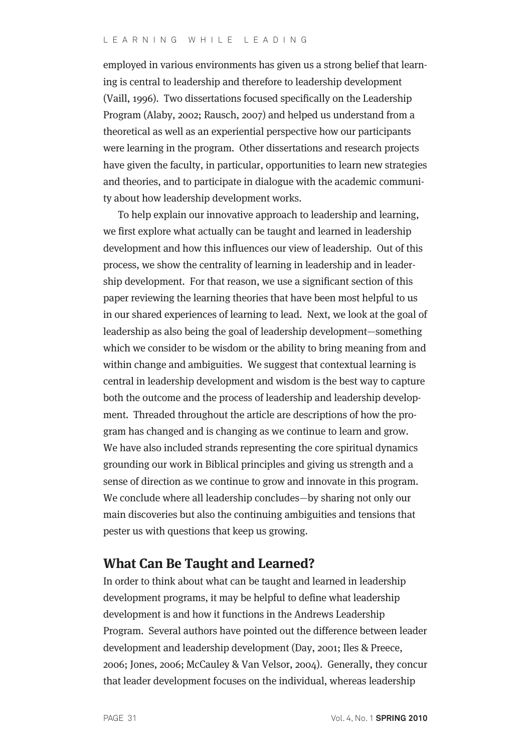employed in various environments has given us a strong belief that learning is central to leadership and therefore to leadership development (Vaill, 1996). Two dissertations focused specifically on the Leadership Program (Alaby, 2002; Rausch, 2007) and helped us understand from a theoretical as well as an experiential perspective how our participants were learning in the program. Other dissertations and research projects have given the faculty, in particular, opportunities to learn new strategies and theories, and to participate in dialogue with the academic community about how leadership development works.

To help explain our innovative approach to leadership and learning, we first explore what actually can be taught and learned in leadership development and how this influences our view of leadership. Out of this process, we show the centrality of learning in leadership and in leadership development. For that reason, we use a significant section of this paper reviewing the learning theories that have been most helpful to us in our shared experiences of learning to lead. Next, we look at the goal of leadership as also being the goal of leadership development—something which we consider to be wisdom or the ability to bring meaning from and within change and ambiguities. We suggest that contextual learning is central in leadership development and wisdom is the best way to capture both the outcome and the process of leadership and leadership development. Threaded throughout the article are descriptions of how the program has changed and is changing as we continue to learn and grow. We have also included strands representing the core spiritual dynamics grounding our work in Biblical principles and giving us strength and a sense of direction as we continue to grow and innovate in this program. We conclude where all leadership concludes—by sharing not only our main discoveries but also the continuing ambiguities and tensions that pester us with questions that keep us growing.

## **What Can Be Taught and Learned?**

In order to think about what can be taught and learned in leadership development programs, it may be helpful to define what leadership development is and how it functions in the Andrews Leadership Program. Several authors have pointed out the difference between leader development and leadership development (Day, 2001; Iles & Preece, 2006; Jones, 2006; McCauley & Van Velsor, 2004). Generally, they concur that leader development focuses on the individual, whereas leadership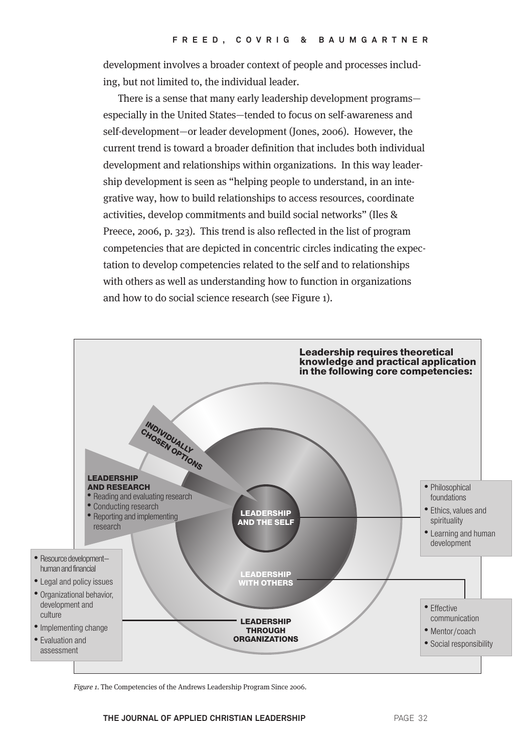development involves a broader context of people and processes including, but not limited to, the individual leader.

There is a sense that many early leadership development programs especially in the United States—tended to focus on self-awareness and self-development—or leader development (Jones, 2006). However, the current trend is toward a broader definition that includes both individual development and relationships within organizations. In this way leadership development is seen as "helping people to understand, in an integrative way, how to build relationships to access resources, coordinate activities, develop commitments and build social networks" (Iles & Preece, 2006, p. 323). This trend is also reflected in the list of program competencies that are depicted in concentric circles indicating the expectation to develop competencies related to the self and to relationships with others as well as understanding how to function in organizations and how to do social science research (see Figure 1).



Figure 1. The Competencies of the Andrews Leadership Program Since 2006.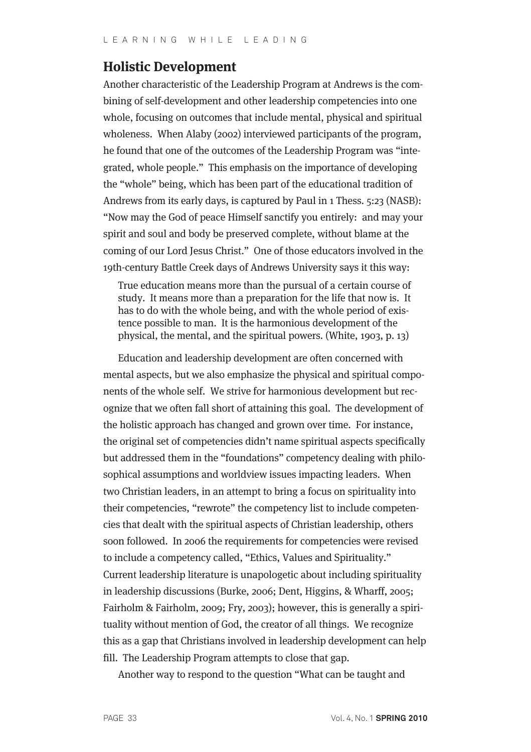### **Holistic Development**

Another characteristic of the Leadership Program at Andrews is the combining of self-development and other leadership competencies into one whole, focusing on outcomes that include mental, physical and spiritual wholeness. When Alaby (2002) interviewed participants of the program, he found that one of the outcomes of the Leadership Program was "integrated, whole people." This emphasis on the importance of developing the "whole" being, which has been part of the educational tradition of Andrews from its early days, is captured by Paul in 1 Thess. 5:23 (NASB): "Now may the God of peace Himself sanctify you entirely: and may your spirit and soul and body be preserved complete, without blame at the coming of our Lord Jesus Christ." One of those educators involved in the 19th-century Battle Creek days of Andrews University says it this way:

True education means more than the pursual of a certain course of study. It means more than a preparation for the life that now is. It has to do with the whole being, and with the whole period of existence possible to man. It is the harmonious development of the physical, the mental, and the spiritual powers. (White, 1903, p. 13)

Education and leadership development are often concerned with mental aspects, but we also emphasize the physical and spiritual components of the whole self. We strive for harmonious development but recognize that we often fall short of attaining this goal. The development of the holistic approach has changed and grown over time. For instance, the original set of competencies didn't name spiritual aspects specifically but addressed them in the "foundations" competency dealing with philosophical assumptions and worldview issues impacting leaders. When two Christian leaders, in an attempt to bring a focus on spirituality into their competencies, "rewrote" the competency list to include competencies that dealt with the spiritual aspects of Christian leadership, others soon followed. In 2006 the requirements for competencies were revised to include a competency called, "Ethics, Values and Spirituality." Current leadership literature is unapologetic about including spirituality in leadership discussions (Burke, 2006; Dent, Higgins, & Wharff, 2005; Fairholm & Fairholm, 2009; Fry, 2003); however, this is generally a spirituality without mention of God, the creator of all things. We recognize this as a gap that Christians involved in leadership development can help fill. The Leadership Program attempts to close that gap.

Another way to respond to the question "What can be taught and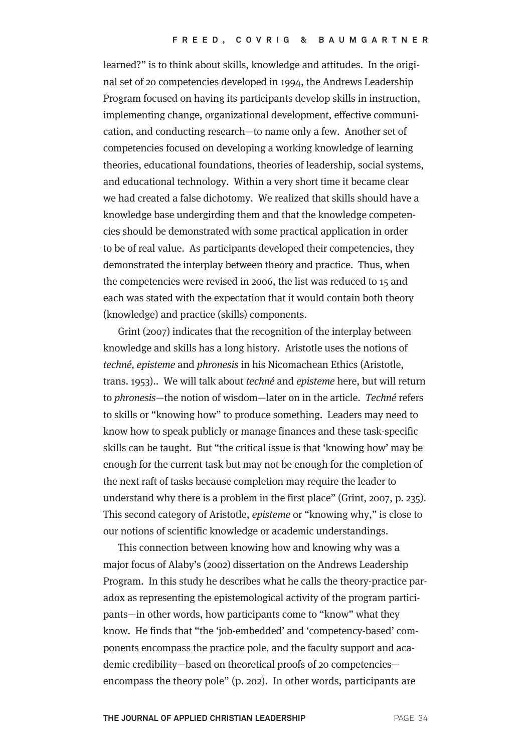learned?" is to think about skills, knowledge and attitudes. In the original set of 20 competencies developed in 1994, the Andrews Leadership Program focused on having its participants develop skills in instruction, implementing change, organizational development, effective communication, and conducting research—to name only a few. Another set of competencies focused on developing a working knowledge of learning theories, educational foundations, theories of leadership, social systems, and educational technology. Within a very short time it became clear we had created a false dichotomy. We realized that skills should have a knowledge base undergirding them and that the knowledge competencies should be demonstrated with some practical application in order to be of real value. As participants developed their competencies, they demonstrated the interplay between theory and practice. Thus, when the competencies were revised in 2006, the list was reduced to 15 and each was stated with the expectation that it would contain both theory (knowledge) and practice (skills) components.

Grint (2007) indicates that the recognition of the interplay between knowledge and skills has a long history. Aristotle uses the notions of techné, episteme and phronesis in his Nicomachean Ethics (Aristotle, trans. 1953).. We will talk about techné and episteme here, but will return to phronesis—the notion of wisdom—later on in the article. Techné refers to skills or "knowing how" to produce something. Leaders may need to know how to speak publicly or manage finances and these task-specific skills can be taught. But "the critical issue is that 'knowing how' may be enough for the current task but may not be enough for the completion of the next raft of tasks because completion may require the leader to understand why there is a problem in the first place" (Grint, 2007, p. 235). This second category of Aristotle, episteme or "knowing why," is close to our notions of scientific knowledge or academic understandings.

This connection between knowing how and knowing why was a major focus of Alaby's (2002) dissertation on the Andrews Leadership Program. In this study he describes what he calls the theory-practice paradox as representing the epistemological activity of the program participants—in other words, how participants come to "know" what they know. He finds that "the 'job-embedded' and 'competency-based' components encompass the practice pole, and the faculty support and academic credibility—based on theoretical proofs of 20 competencies encompass the theory pole" (p. 202). In other words, participants are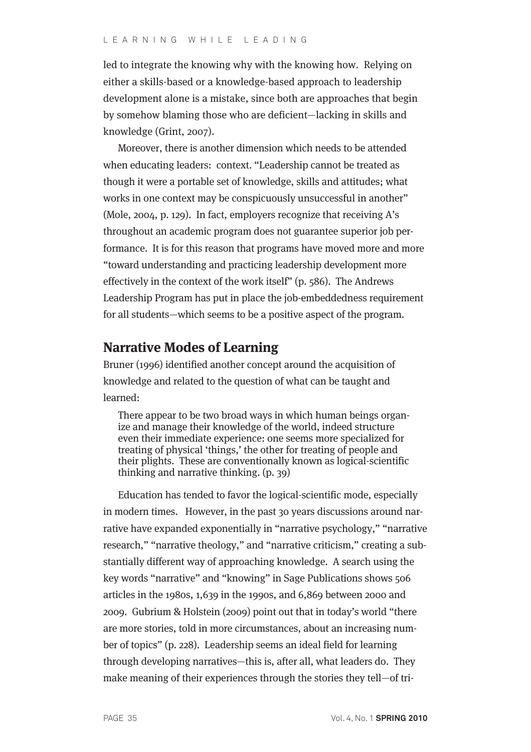led to integrate the knowing why with the knowing how. Relying on either a skills-based or a knowledge-based approach to leadership development alone is a mistake, since both are approaches that begin by somehow blaming those who are deficient—lacking in skills and knowledge (Grint, 2007).

Moreover, there is another dimension which needs to be attended when educating leaders: context. "Leadership cannot be treated as though it were a portable set of knowledge, skills and attitudes; what works in one context may be conspicuously unsuccessful in another" (Mole, 2004, p. 129). In fact, employers recognize that receiving A's throughout an academic program does not guarantee superior job performance. It is for this reason that programs have moved more and more "toward understanding and practicing leadership development more effectively in the context of the work itself" (p. 586). The Andrews Leadership Program has put in place the job-embeddedness requirement for all students—which seems to be a positive aspect of the program.

## **Narrative Modes of Learning**

Bruner (1996) identified another concept around the acquisition of knowledge and related to the question of what can be taught and learned:

There appear to be two broad ways in which human beings organize and manage their knowledge of the world, indeed structure even their immediate experience: one seems more specialized for treating of physical 'things,' the other for treating of people and their plights. These are conventionally known as logical-scientific thinking and narrative thinking. (p. 39)

Education has tended to favor the logical-scientific mode, especially in modern times. However, in the past 30 years discussions around narrative have expanded exponentially in "narrative psychology," "narrative research," "narrative theology," and "narrative criticism," creating a substantially different way of approaching knowledge. A search using the key words "narrative" and "knowing" in Sage Publications shows 506 articles in the 1980s, 1,639 in the 1990s, and 6,869 between 2000 and 2009. Gubrium & Holstein (2009) point out that in today's world "there are more stories, told in more circumstances, about an increasing number of topics" (p. 228). Leadership seems an ideal field for learning through developing narratives—this is, after all, what leaders do. They make meaning of their experiences through the stories they tell—of tri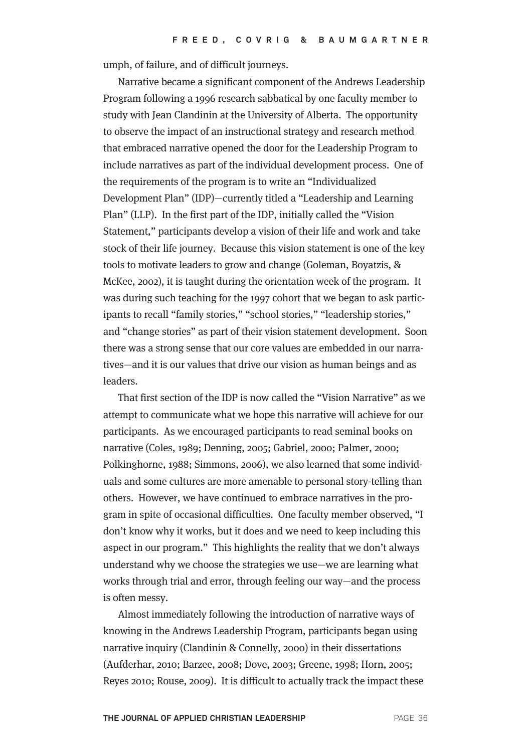umph, of failure, and of difficult journeys.

Narrative became a significant component of the Andrews Leadership Program following a 1996 research sabbatical by one faculty member to study with Jean Clandinin at the University of Alberta. The opportunity to observe the impact of an instructional strategy and research method that embraced narrative opened the door for the Leadership Program to include narratives as part of the individual development process. One of the requirements of the program is to write an "Individualized Development Plan" (IDP)—currently titled a "Leadership and Learning Plan" (LLP). In the first part of the IDP, initially called the "Vision Statement," participants develop a vision of their life and work and take stock of their life journey. Because this vision statement is one of the key tools to motivate leaders to grow and change (Goleman, Boyatzis, & McKee, 2002), it is taught during the orientation week of the program. It was during such teaching for the 1997 cohort that we began to ask participants to recall "family stories," "school stories," "leadership stories," and "change stories" as part of their vision statement development. Soon there was a strong sense that our core values are embedded in our narratives—and it is our values that drive our vision as human beings and as leaders.

That first section of the IDP is now called the "Vision Narrative" as we attempt to communicate what we hope this narrative will achieve for our participants. As we encouraged participants to read seminal books on narrative (Coles, 1989; Denning, 2005; Gabriel, 2000; Palmer, 2000; Polkinghorne, 1988; Simmons, 2006), we also learned that some individuals and some cultures are more amenable to personal story-telling than others. However, we have continued to embrace narratives in the program in spite of occasional difficulties. One faculty member observed, "I don't know why it works, but it does and we need to keep including this aspect in our program." This highlights the reality that we don't always understand why we choose the strategies we use—we are learning what works through trial and error, through feeling our way—and the process is often messy.

Almost immediately following the introduction of narrative ways of knowing in the Andrews Leadership Program, participants began using narrative inquiry (Clandinin & Connelly, 2000) in their dissertations (Aufderhar, 2010; Barzee, 2008; Dove, 2003; Greene, 1998; Horn, 2005; Reyes 2010; Rouse, 2009). It is difficult to actually track the impact these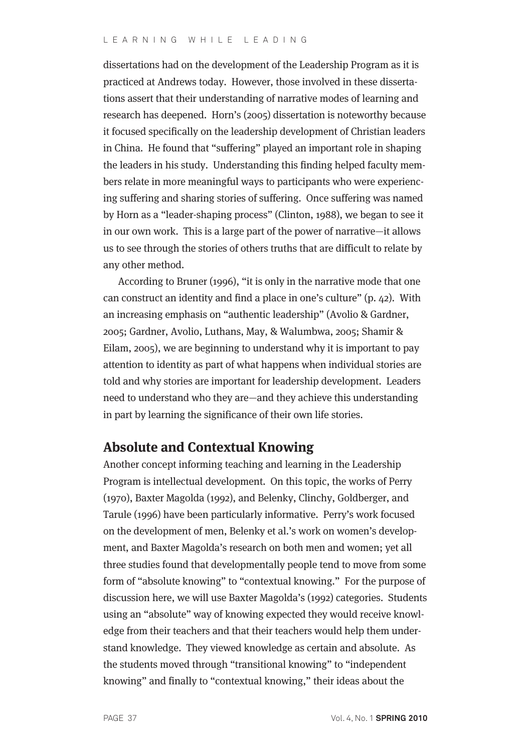dissertations had on the development of the Leadership Program as it is practiced at Andrews today. However, those involved in these dissertations assert that their understanding of narrative modes of learning and research has deepened. Horn's (2005) dissertation is noteworthy because it focused specifically on the leadership development of Christian leaders in China. He found that "suffering" played an important role in shaping the leaders in his study. Understanding this finding helped faculty members relate in more meaningful ways to participants who were experiencing suffering and sharing stories of suffering. Once suffering was named by Horn as a "leader-shaping process" (Clinton, 1988), we began to see it in our own work. This is a large part of the power of narrative—it allows us to see through the stories of others truths that are difficult to relate by any other method.

According to Bruner (1996), "it is only in the narrative mode that one can construct an identity and find a place in one's culture" (p. 42). With an increasing emphasis on "authentic leadership" (Avolio & Gardner, 2005; Gardner, Avolio, Luthans, May, & Walumbwa, 2005; Shamir & Eilam, 2005), we are beginning to understand why it is important to pay attention to identity as part of what happens when individual stories are told and why stories are important for leadership development. Leaders need to understand who they are—and they achieve this understanding in part by learning the significance of their own life stories.

### **Absolute and Contextual Knowing**

Another concept informing teaching and learning in the Leadership Program is intellectual development. On this topic, the works of Perry (1970), Baxter Magolda (1992), and Belenky, Clinchy, Goldberger, and Tarule (1996) have been particularly informative. Perry's work focused on the development of men, Belenky et al.'s work on women's development, and Baxter Magolda's research on both men and women; yet all three studies found that developmentally people tend to move from some form of "absolute knowing" to "contextual knowing." For the purpose of discussion here, we will use Baxter Magolda's (1992) categories. Students using an "absolute" way of knowing expected they would receive knowledge from their teachers and that their teachers would help them understand knowledge. They viewed knowledge as certain and absolute. As the students moved through "transitional knowing" to "independent knowing" and finally to "contextual knowing," their ideas about the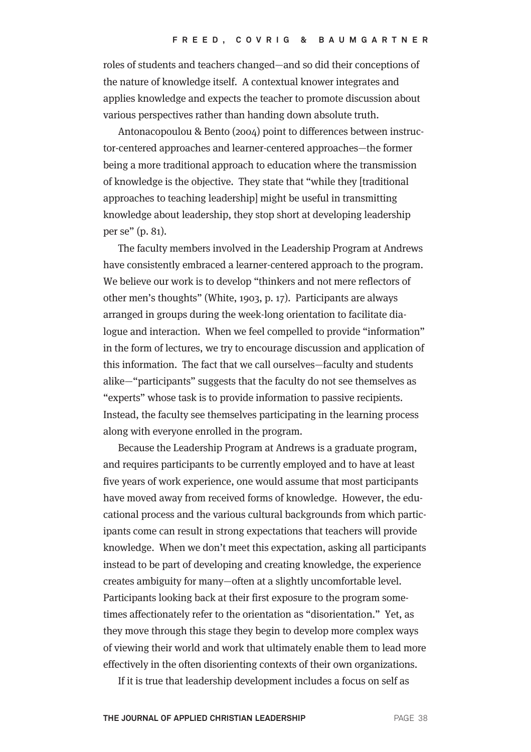roles of students and teachers changed—and so did their conceptions of the nature of knowledge itself. A contextual knower integrates and applies knowledge and expects the teacher to promote discussion about various perspectives rather than handing down absolute truth.

Antonacopoulou & Bento (2004) point to differences between instructor-centered approaches and learner-centered approaches—the former being a more traditional approach to education where the transmission of knowledge is the objective. They state that "while they [traditional approaches to teaching leadership] might be useful in transmitting knowledge about leadership, they stop short at developing leadership per se" (p. 81).

The faculty members involved in the Leadership Program at Andrews have consistently embraced a learner-centered approach to the program. We believe our work is to develop "thinkers and not mere reflectors of other men's thoughts" (White, 1903, p. 17). Participants are always arranged in groups during the week-long orientation to facilitate dialogue and interaction. When we feel compelled to provide "information" in the form of lectures, we try to encourage discussion and application of this information. The fact that we call ourselves—faculty and students alike—"participants" suggests that the faculty do not see themselves as "experts" whose task is to provide information to passive recipients. Instead, the faculty see themselves participating in the learning process along with everyone enrolled in the program.

Because the Leadership Program at Andrews is a graduate program, and requires participants to be currently employed and to have at least five years of work experience, one would assume that most participants have moved away from received forms of knowledge. However, the educational process and the various cultural backgrounds from which participants come can result in strong expectations that teachers will provide knowledge. When we don't meet this expectation, asking all participants instead to be part of developing and creating knowledge, the experience creates ambiguity for many—often at a slightly uncomfortable level. Participants looking back at their first exposure to the program sometimes affectionately refer to the orientation as "disorientation." Yet, as they move through this stage they begin to develop more complex ways of viewing their world and work that ultimately enable them to lead more effectively in the often disorienting contexts of their own organizations.

If it is true that leadership development includes a focus on self as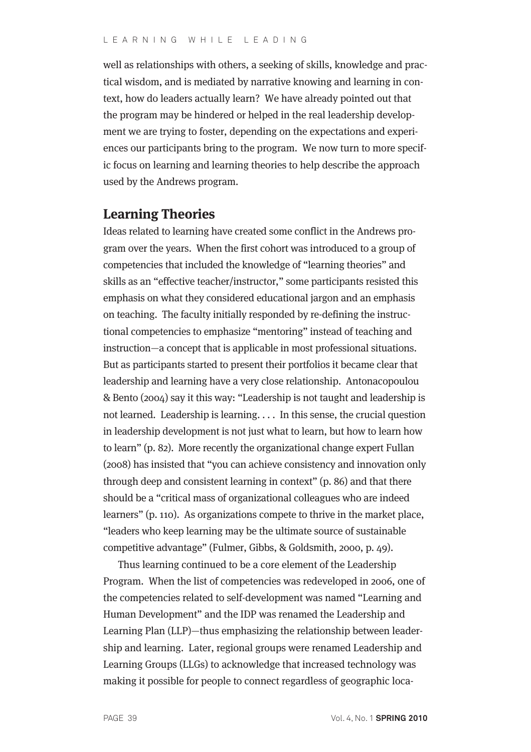well as relationships with others, a seeking of skills, knowledge and practical wisdom, and is mediated by narrative knowing and learning in context, how do leaders actually learn? We have already pointed out that the program may be hindered or helped in the real leadership development we are trying to foster, depending on the expectations and experiences our participants bring to the program. We now turn to more specific focus on learning and learning theories to help describe the approach used by the Andrews program.

### **Learning Theories**

Ideas related to learning have created some conflict in the Andrews program over the years. When the first cohort was introduced to a group of competencies that included the knowledge of "learning theories" and skills as an "effective teacher/instructor," some participants resisted this emphasis on what they considered educational jargon and an emphasis on teaching. The faculty initially responded by re-defining the instructional competencies to emphasize "mentoring" instead of teaching and instruction—a concept that is applicable in most professional situations. But as participants started to present their portfolios it became clear that leadership and learning have a very close relationship. Antonacopoulou & Bento (2004) say it this way: "Leadership is not taught and leadership is not learned. Leadership is learning. . . . In this sense, the crucial question in leadership development is not just what to learn, but how to learn how to learn" (p. 82). More recently the organizational change expert Fullan (2008) has insisted that "you can achieve consistency and innovation only through deep and consistent learning in context" (p. 86) and that there should be a "critical mass of organizational colleagues who are indeed learners" (p. 110). As organizations compete to thrive in the market place, "leaders who keep learning may be the ultimate source of sustainable competitive advantage" (Fulmer, Gibbs, & Goldsmith, 2000, p. 49).

Thus learning continued to be a core element of the Leadership Program. When the list of competencies was redeveloped in 2006, one of the competencies related to self-development was named "Learning and Human Development" and the IDP was renamed the Leadership and Learning Plan (LLP)—thus emphasizing the relationship between leadership and learning. Later, regional groups were renamed Leadership and Learning Groups (LLGs) to acknowledge that increased technology was making it possible for people to connect regardless of geographic loca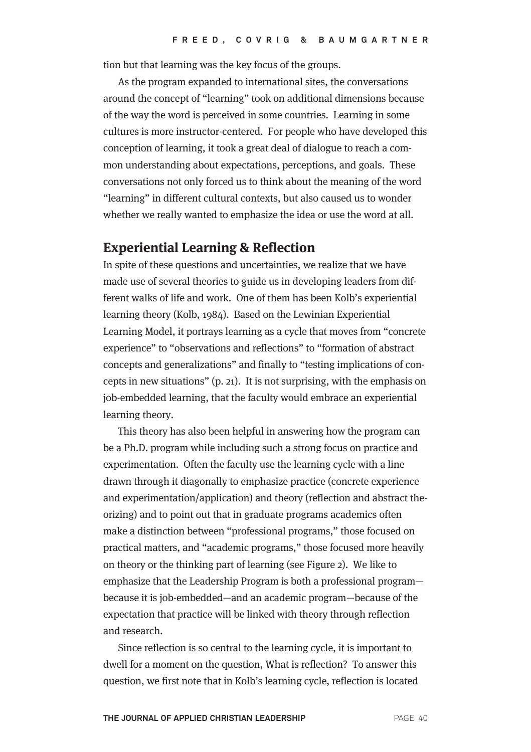tion but that learning was the key focus of the groups.

As the program expanded to international sites, the conversations around the concept of "learning" took on additional dimensions because of the way the word is perceived in some countries. Learning in some cultures is more instructor-centered. For people who have developed this conception of learning, it took a great deal of dialogue to reach a common understanding about expectations, perceptions, and goals. These conversations not only forced us to think about the meaning of the word "learning" in different cultural contexts, but also caused us to wonder whether we really wanted to emphasize the idea or use the word at all.

#### **Experiential Learning & Reflection**

In spite of these questions and uncertainties, we realize that we have made use of several theories to guide us in developing leaders from different walks of life and work. One of them has been Kolb's experiential learning theory (Kolb, 1984). Based on the Lewinian Experiential Learning Model, it portrays learning as a cycle that moves from "concrete experience" to "observations and reflections" to "formation of abstract concepts and generalizations" and finally to "testing implications of concepts in new situations" (p. 21). It is not surprising, with the emphasis on job-embedded learning, that the faculty would embrace an experiential learning theory.

This theory has also been helpful in answering how the program can be a Ph.D. program while including such a strong focus on practice and experimentation. Often the faculty use the learning cycle with a line drawn through it diagonally to emphasize practice (concrete experience and experimentation/application) and theory (reflection and abstract theorizing) and to point out that in graduate programs academics often make a distinction between "professional programs," those focused on practical matters, and "academic programs," those focused more heavily on theory or the thinking part of learning (see Figure 2). We like to emphasize that the Leadership Program is both a professional program because it is job-embedded—and an academic program—because of the expectation that practice will be linked with theory through reflection and research.

Since reflection is so central to the learning cycle, it is important to dwell for a moment on the question, What is reflection? To answer this question, we first note that in Kolb's learning cycle, reflection is located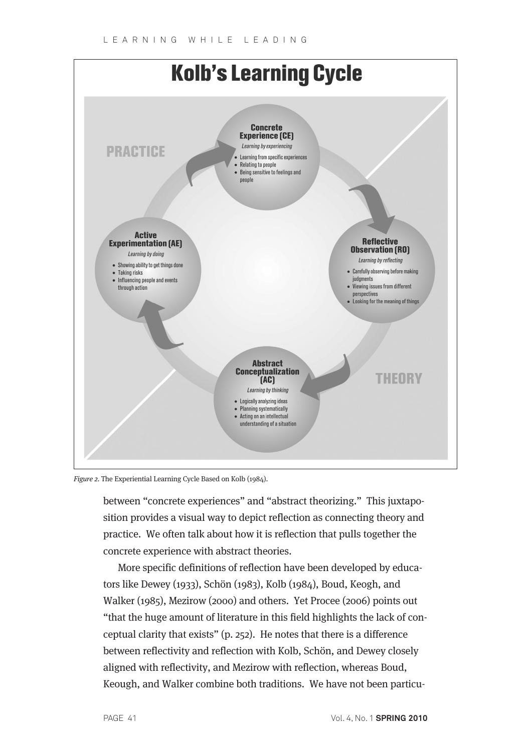

Figure 2. The Experiential Learning Cycle Based on Kolb (1984).

between "concrete experiences" and "abstract theorizing." This juxtaposition provides a visual way to depict reflection as connecting theory and practice. We often talk about how it is reflection that pulls together the concrete experience with abstract theories.

More specific definitions of reflection have been developed by educators like Dewey (1933), Schön (1983), Kolb (1984), Boud, Keogh, and Walker (1985), Mezirow (2000) and others. Yet Procee (2006) points out "that the huge amount of literature in this field highlights the lack of conceptual clarity that exists" (p. 252). He notes that there is a difference between reflectivity and reflection with Kolb, Schön, and Dewey closely aligned with reflectivity, and Mezirow with reflection, whereas Boud, Keough, and Walker combine both traditions. We have not been particu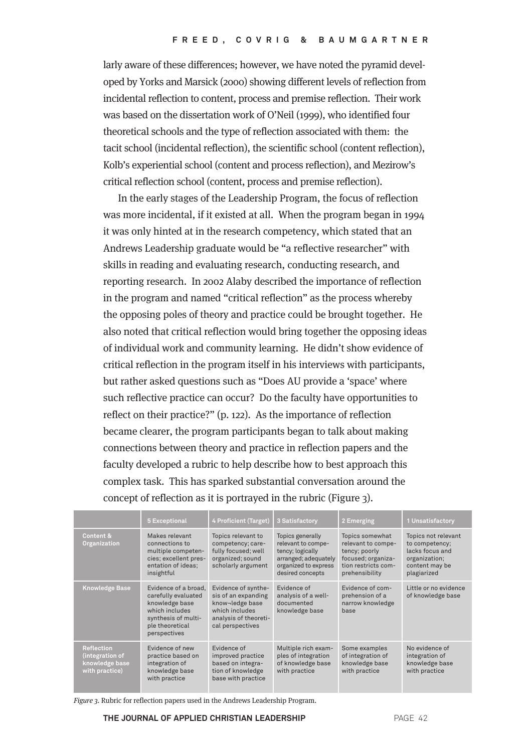larly aware of these differences; however, we have noted the pyramid developed by Yorks and Marsick (2000) showing different levels of reflection from incidental reflection to content, process and premise reflection. Their work was based on the dissertation work of O'Neil (1999), who identified four theoretical schools and the type of reflection associated with them: the tacit school (incidental reflection), the scientific school (content reflection), Kolb's experiential school (content and process reflection), and Mezirow's critical reflection school (content, process and premise reflection).

In the early stages of the Leadership Program, the focus of reflection was more incidental, if it existed at all. When the program began in 1994 it was only hinted at in the research competency, which stated that an Andrews Leadership graduate would be "a reflective researcher" with skills in reading and evaluating research, conducting research, and reporting research. In 2002 Alaby described the importance of reflection in the program and named "critical reflection" as the process whereby the opposing poles of theory and practice could be brought together. He also noted that critical reflection would bring together the opposing ideas of individual work and community learning. He didn't show evidence of critical reflection in the program itself in his interviews with participants, but rather asked questions such as "Does AU provide a 'space' where such reflective practice can occur? Do the faculty have opportunities to reflect on their practice?" (p. 122). As the importance of reflection became clearer, the program participants began to talk about making connections between theory and practice in reflection papers and the faculty developed a rubric to help describe how to best approach this complex task. This has sparked substantial conversation around the concept of reflection as it is portrayed in the rubric (Figure 3).

|                                                                          | <b>5 Exceptional</b>                                                                                                                      | 4 Proficient (Target)                                                                                                        | 3 Satisfactory                                                                                                                 | 2 Emerging                                                                                                            | 1 Unsatisfactory                                                                                           |
|--------------------------------------------------------------------------|-------------------------------------------------------------------------------------------------------------------------------------------|------------------------------------------------------------------------------------------------------------------------------|--------------------------------------------------------------------------------------------------------------------------------|-----------------------------------------------------------------------------------------------------------------------|------------------------------------------------------------------------------------------------------------|
| Content &<br>Organization                                                | Makes relevant<br>connections to<br>multiple competen-<br>cies; excellent pres-<br>entation of ideas;<br>insightful                       | Topics relevant to<br>competency; care-<br>fully focused; well<br>organized; sound<br>scholarly argument                     | Topics generally<br>relevant to compe-<br>tency; logically<br>arranged; adequately<br>organized to express<br>desired concepts | Topics somewhat<br>relevant to compe-<br>tency; poorly<br>focused; organiza-<br>tion restricts com-<br>prehensibility | Topics not relevant<br>to competency;<br>lacks focus and<br>organization;<br>content may be<br>plagiarized |
| <b>Knowledge Base</b>                                                    | Evidence of a broad.<br>carefully evaluated<br>knowledge base<br>which includes<br>synthesis of multi-<br>ple theoretical<br>perspectives | Evidence of synthe-<br>sis of an expanding<br>know-ledge base<br>which includes<br>analysis of theoreti-<br>cal perspectives | Evidence of<br>analysis of a well-<br>documented<br>knowledge base                                                             | Evidence of com-<br>prehension of a<br>narrow knowledge<br>base                                                       | Little or no evidence<br>of knowledge base                                                                 |
| <b>Reflection</b><br>(integration of<br>knowledge base<br>with practice) | Evidence of new<br>practice based on<br>integration of<br>knowledge base<br>with practice                                                 | Evidence of<br>improved practice<br>based on integra-<br>tion of knowledge<br>base with practice                             | Multiple rich exam-<br>ples of integration<br>of knowledge base<br>with practice                                               | Some examples<br>of integration of<br>knowledge base<br>with practice                                                 | No evidence of<br>integration of<br>knowledge base<br>with practice                                        |

Figure 3. Rubric for reflection papers used in the Andrews Leadership Program.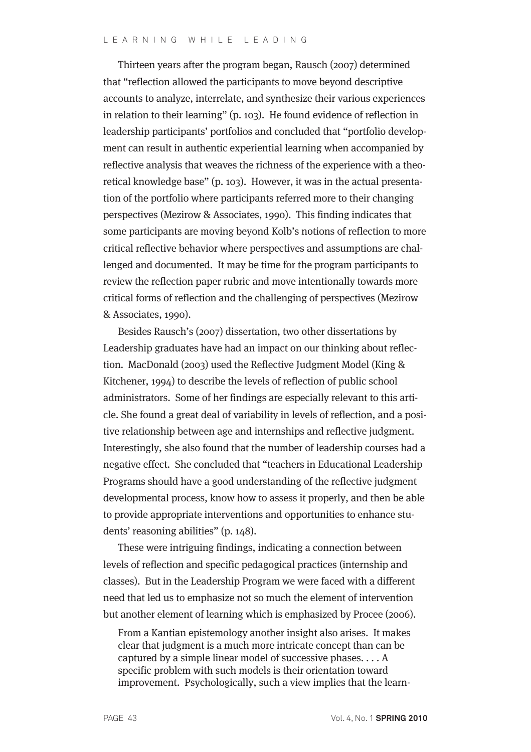Thirteen years after the program began, Rausch (2007) determined that "reflection allowed the participants to move beyond descriptive accounts to analyze, interrelate, and synthesize their various experiences in relation to their learning" (p. 103). He found evidence of reflection in leadership participants' portfolios and concluded that "portfolio development can result in authentic experiential learning when accompanied by reflective analysis that weaves the richness of the experience with a theoretical knowledge base" (p. 103). However, it was in the actual presentation of the portfolio where participants referred more to their changing perspectives (Mezirow & Associates, 1990). This finding indicates that some participants are moving beyond Kolb's notions of reflection to more critical reflective behavior where perspectives and assumptions are challenged and documented. It may be time for the program participants to review the reflection paper rubric and move intentionally towards more critical forms of reflection and the challenging of perspectives (Mezirow & Associates, 1990).

Besides Rausch's (2007) dissertation, two other dissertations by Leadership graduates have had an impact on our thinking about reflection. MacDonald (2003) used the Reflective Judgment Model (King & Kitchener, 1994) to describe the levels of reflection of public school administrators. Some of her findings are especially relevant to this article. She found a great deal of variability in levels of reflection, and a positive relationship between age and internships and reflective judgment. Interestingly, she also found that the number of leadership courses had a negative effect. She concluded that "teachers in Educational Leadership Programs should have a good understanding of the reflective judgment developmental process, know how to assess it properly, and then be able to provide appropriate interventions and opportunities to enhance students' reasoning abilities" (p. 148).

These were intriguing findings, indicating a connection between levels of reflection and specific pedagogical practices (internship and classes). But in the Leadership Program we were faced with a different need that led us to emphasize not so much the element of intervention but another element of learning which is emphasized by Procee (2006).

From a Kantian epistemology another insight also arises. It makes clear that judgment is a much more intricate concept than can be captured by a simple linear model of successive phases. . . . A specific problem with such models is their orientation toward improvement. Psychologically, such a view implies that the learn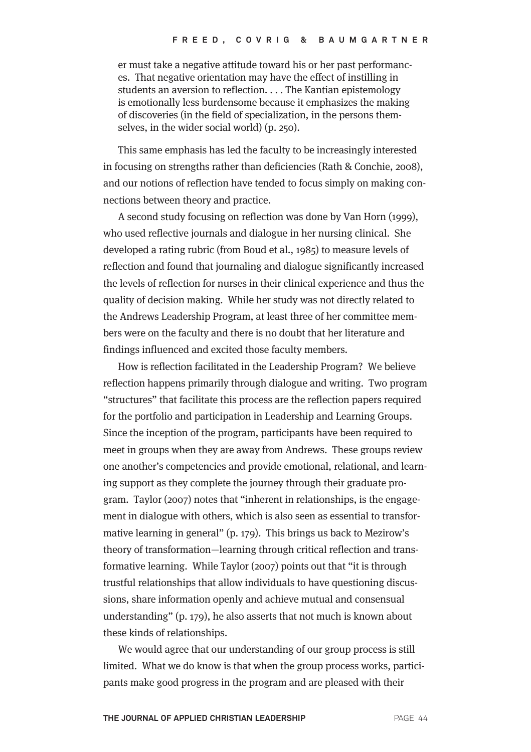er must take a negative attitude toward his or her past performances. That negative orientation may have the effect of instilling in students an aversion to reflection. . . . The Kantian epistemology is emotionally less burdensome because it emphasizes the making of discoveries (in the field of specialization, in the persons themselves, in the wider social world) (p. 250).

This same emphasis has led the faculty to be increasingly interested in focusing on strengths rather than deficiencies (Rath & Conchie, 2008), and our notions of reflection have tended to focus simply on making connections between theory and practice.

A second study focusing on reflection was done by Van Horn (1999), who used reflective journals and dialogue in her nursing clinical. She developed a rating rubric (from Boud et al., 1985) to measure levels of reflection and found that journaling and dialogue significantly increased the levels of reflection for nurses in their clinical experience and thus the quality of decision making. While her study was not directly related to the Andrews Leadership Program, at least three of her committee members were on the faculty and there is no doubt that her literature and findings influenced and excited those faculty members.

How is reflection facilitated in the Leadership Program? We believe reflection happens primarily through dialogue and writing. Two program "structures" that facilitate this process are the reflection papers required for the portfolio and participation in Leadership and Learning Groups. Since the inception of the program, participants have been required to meet in groups when they are away from Andrews. These groups review one another's competencies and provide emotional, relational, and learning support as they complete the journey through their graduate program. Taylor (2007) notes that "inherent in relationships, is the engagement in dialogue with others, which is also seen as essential to transformative learning in general" (p. 179). This brings us back to Mezirow's theory of transformation—learning through critical reflection and transformative learning. While Taylor (2007) points out that "it is through trustful relationships that allow individuals to have questioning discussions, share information openly and achieve mutual and consensual understanding" (p. 179), he also asserts that not much is known about these kinds of relationships.

We would agree that our understanding of our group process is still limited. What we do know is that when the group process works, participants make good progress in the program and are pleased with their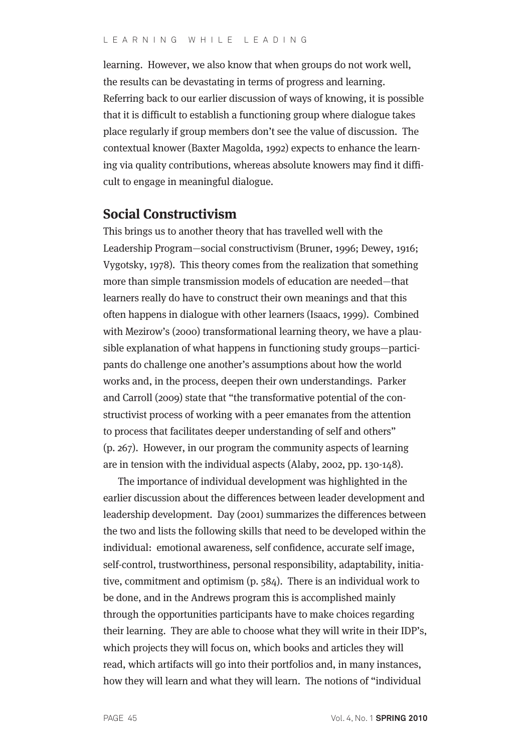learning. However, we also know that when groups do not work well, the results can be devastating in terms of progress and learning. Referring back to our earlier discussion of ways of knowing, it is possible that it is difficult to establish a functioning group where dialogue takes place regularly if group members don't see the value of discussion. The contextual knower (Baxter Magolda, 1992) expects to enhance the learning via quality contributions, whereas absolute knowers may find it difficult to engage in meaningful dialogue.

#### **Social Constructivism**

This brings us to another theory that has travelled well with the Leadership Program—social constructivism (Bruner, 1996; Dewey, 1916; Vygotsky, 1978). This theory comes from the realization that something more than simple transmission models of education are needed—that learners really do have to construct their own meanings and that this often happens in dialogue with other learners (Isaacs, 1999). Combined with Mezirow's (2000) transformational learning theory, we have a plausible explanation of what happens in functioning study groups—participants do challenge one another's assumptions about how the world works and, in the process, deepen their own understandings. Parker and Carroll (2009) state that "the transformative potential of the constructivist process of working with a peer emanates from the attention to process that facilitates deeper understanding of self and others" (p. 267). However, in our program the community aspects of learning are in tension with the individual aspects (Alaby, 2002, pp. 130-148).

The importance of individual development was highlighted in the earlier discussion about the differences between leader development and leadership development. Day (2001) summarizes the differences between the two and lists the following skills that need to be developed within the individual: emotional awareness, self confidence, accurate self image, self-control, trustworthiness, personal responsibility, adaptability, initiative, commitment and optimism (p. 584). There is an individual work to be done, and in the Andrews program this is accomplished mainly through the opportunities participants have to make choices regarding their learning. They are able to choose what they will write in their IDP's, which projects they will focus on, which books and articles they will read, which artifacts will go into their portfolios and, in many instances, how they will learn and what they will learn. The notions of "individual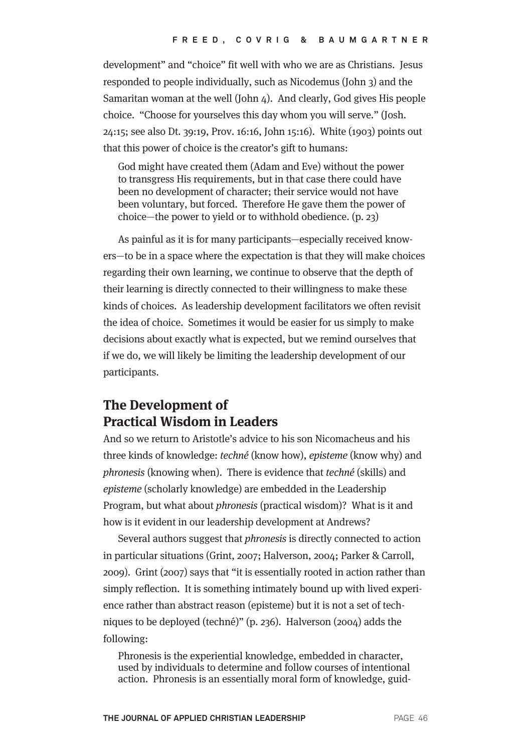development" and "choice" fit well with who we are as Christians. Jesus responded to people individually, such as Nicodemus (John 3) and the Samaritan woman at the well (John 4). And clearly, God gives His people choice. "Choose for yourselves this day whom you will serve." (Josh. 24:15; see also Dt. 39:19, Prov. 16:16, John 15:16). White (1903) points out that this power of choice is the creator's gift to humans:

God might have created them (Adam and Eve) without the power to transgress His requirements, but in that case there could have been no development of character; their service would not have been voluntary, but forced. Therefore He gave them the power of choice—the power to yield or to withhold obedience. (p. 23)

As painful as it is for many participants—especially received knowers—to be in a space where the expectation is that they will make choices regarding their own learning, we continue to observe that the depth of their learning is directly connected to their willingness to make these kinds of choices. As leadership development facilitators we often revisit the idea of choice. Sometimes it would be easier for us simply to make decisions about exactly what is expected, but we remind ourselves that if we do, we will likely be limiting the leadership development of our participants.

# **The Development of Practical Wisdom in Leaders**

And so we return to Aristotle's advice to his son Nicomacheus and his three kinds of knowledge: techné (know how), episteme (know why) and phronesis (knowing when). There is evidence that techné (skills) and episteme (scholarly knowledge) are embedded in the Leadership Program, but what about phronesis (practical wisdom)? What is it and how is it evident in our leadership development at Andrews?

Several authors suggest that phronesis is directly connected to action in particular situations (Grint, 2007; Halverson, 2004; Parker & Carroll, 2009). Grint (2007) says that "it is essentially rooted in action rather than simply reflection. It is something intimately bound up with lived experience rather than abstract reason (episteme) but it is not a set of techniques to be deployed (techné)" (p. 236). Halverson (2004) adds the following:

Phronesis is the experiential knowledge, embedded in character, used by individuals to determine and follow courses of intentional action. Phronesis is an essentially moral form of knowledge, guid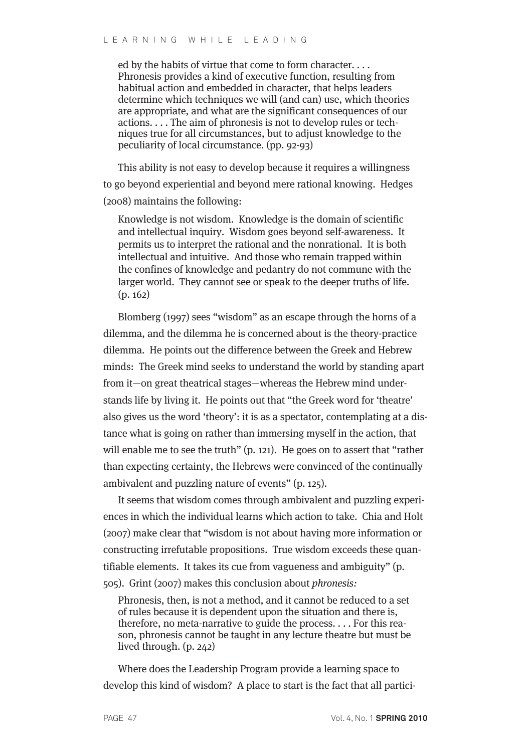ed by the habits of virtue that come to form character. . . . Phronesis provides a kind of executive function, resulting from habitual action and embedded in character, that helps leaders determine which techniques we will (and can) use, which theories are appropriate, and what are the significant consequences of our actions. . . . The aim of phronesis is not to develop rules or techniques true for all circumstances, but to adjust knowledge to the peculiarity of local circumstance. (pp. 92-93)

This ability is not easy to develop because it requires a willingness to go beyond experiential and beyond mere rational knowing. Hedges (2008) maintains the following:

Knowledge is not wisdom. Knowledge is the domain of scientific and intellectual inquiry. Wisdom goes beyond self-awareness. It permits us to interpret the rational and the nonrational. It is both intellectual and intuitive. And those who remain trapped within the confines of knowledge and pedantry do not commune with the larger world. They cannot see or speak to the deeper truths of life. (p. 162)

Blomberg (1997) sees "wisdom" as an escape through the horns of a dilemma, and the dilemma he is concerned about is the theory-practice dilemma. He points out the difference between the Greek and Hebrew minds: The Greek mind seeks to understand the world by standing apart from it—on great theatrical stages—whereas the Hebrew mind understands life by living it. He points out that "the Greek word for 'theatre' also gives us the word 'theory': it is as a spectator, contemplating at a distance what is going on rather than immersing myself in the action, that will enable me to see the truth" (p. 121). He goes on to assert that "rather than expecting certainty, the Hebrews were convinced of the continually ambivalent and puzzling nature of events" (p. 125).

It seems that wisdom comes through ambivalent and puzzling experiences in which the individual learns which action to take. Chia and Holt (2007) make clear that "wisdom is not about having more information or constructing irrefutable propositions. True wisdom exceeds these quantifiable elements. It takes its cue from vagueness and ambiguity" (p. 505). Grint (2007) makes this conclusion about phronesis:

Phronesis, then, is not a method, and it cannot be reduced to a set of rules because it is dependent upon the situation and there is, therefore, no meta-narrative to guide the process. . . . For this reason, phronesis cannot be taught in any lecture theatre but must be lived through. (p. 242)

Where does the Leadership Program provide a learning space to develop this kind of wisdom? A place to start is the fact that all partici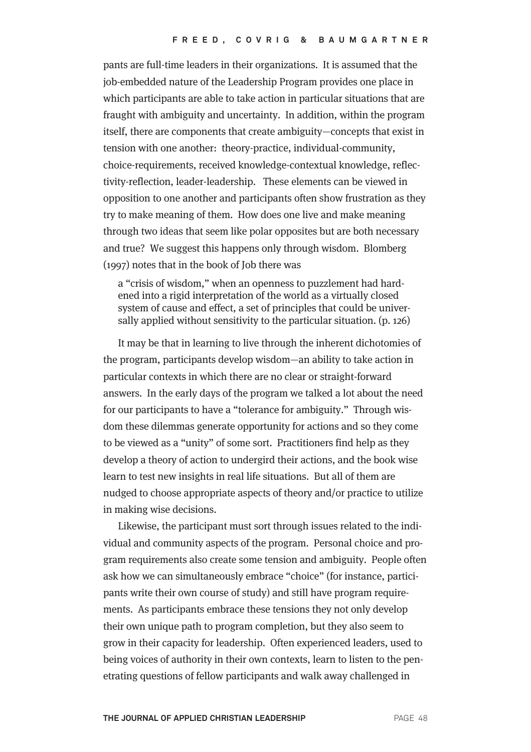pants are full-time leaders in their organizations. It is assumed that the job-embedded nature of the Leadership Program provides one place in which participants are able to take action in particular situations that are fraught with ambiguity and uncertainty. In addition, within the program itself, there are components that create ambiguity—concepts that exist in tension with one another: theory-practice, individual-community, choice-requirements, received knowledge-contextual knowledge, reflectivity-reflection, leader-leadership. These elements can be viewed in opposition to one another and participants often show frustration as they try to make meaning of them. How does one live and make meaning through two ideas that seem like polar opposites but are both necessary and true? We suggest this happens only through wisdom. Blomberg (1997) notes that in the book of Job there was

a "crisis of wisdom," when an openness to puzzlement had hardened into a rigid interpretation of the world as a virtually closed system of cause and effect, a set of principles that could be universally applied without sensitivity to the particular situation. (p. 126)

It may be that in learning to live through the inherent dichotomies of the program, participants develop wisdom—an ability to take action in particular contexts in which there are no clear or straight-forward answers. In the early days of the program we talked a lot about the need for our participants to have a "tolerance for ambiguity." Through wisdom these dilemmas generate opportunity for actions and so they come to be viewed as a "unity" of some sort. Practitioners find help as they develop a theory of action to undergird their actions, and the book wise learn to test new insights in real life situations. But all of them are nudged to choose appropriate aspects of theory and/or practice to utilize in making wise decisions.

Likewise, the participant must sort through issues related to the individual and community aspects of the program. Personal choice and program requirements also create some tension and ambiguity. People often ask how we can simultaneously embrace "choice" (for instance, participants write their own course of study) and still have program requirements. As participants embrace these tensions they not only develop their own unique path to program completion, but they also seem to grow in their capacity for leadership. Often experienced leaders, used to being voices of authority in their own contexts, learn to listen to the penetrating questions of fellow participants and walk away challenged in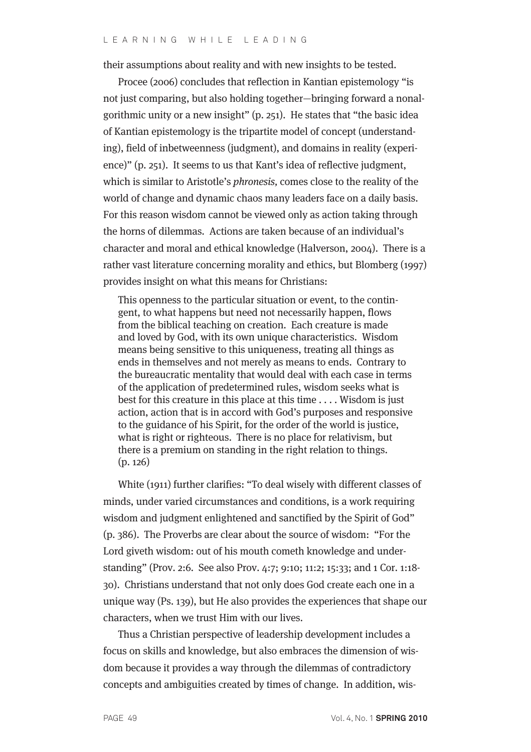their assumptions about reality and with new insights to be tested.

Procee (2006) concludes that reflection in Kantian epistemology "is not just comparing, but also holding together—bringing forward a nonalgorithmic unity or a new insight" (p. 251). He states that "the basic idea of Kantian epistemology is the tripartite model of concept (understanding), field of inbetweenness (judgment), and domains in reality (experience)" (p. 251). It seems to us that Kant's idea of reflective judgment, which is similar to Aristotle's *phronesis*, comes close to the reality of the world of change and dynamic chaos many leaders face on a daily basis. For this reason wisdom cannot be viewed only as action taking through the horns of dilemmas. Actions are taken because of an individual's character and moral and ethical knowledge (Halverson, 2004). There is a rather vast literature concerning morality and ethics, but Blomberg (1997) provides insight on what this means for Christians:

This openness to the particular situation or event, to the contingent, to what happens but need not necessarily happen, flows from the biblical teaching on creation. Each creature is made and loved by God, with its own unique characteristics. Wisdom means being sensitive to this uniqueness, treating all things as ends in themselves and not merely as means to ends. Contrary to the bureaucratic mentality that would deal with each case in terms of the application of predetermined rules, wisdom seeks what is best for this creature in this place at this time . . . . Wisdom is just action, action that is in accord with God's purposes and responsive to the guidance of his Spirit, for the order of the world is justice, what is right or righteous. There is no place for relativism, but there is a premium on standing in the right relation to things. (p. 126)

White (1911) further clarifies: "To deal wisely with different classes of minds, under varied circumstances and conditions, is a work requiring wisdom and judgment enlightened and sanctified by the Spirit of God" (p. 386). The Proverbs are clear about the source of wisdom: "For the Lord giveth wisdom: out of his mouth cometh knowledge and understanding" (Prov. 2:6. See also Prov. 4:7; 9:10; 11:2; 15:33; and 1 Cor. 1:18- 30). Christians understand that not only does God create each one in a unique way (Ps. 139), but He also provides the experiences that shape our characters, when we trust Him with our lives.

Thus a Christian perspective of leadership development includes a focus on skills and knowledge, but also embraces the dimension of wisdom because it provides a way through the dilemmas of contradictory concepts and ambiguities created by times of change. In addition, wis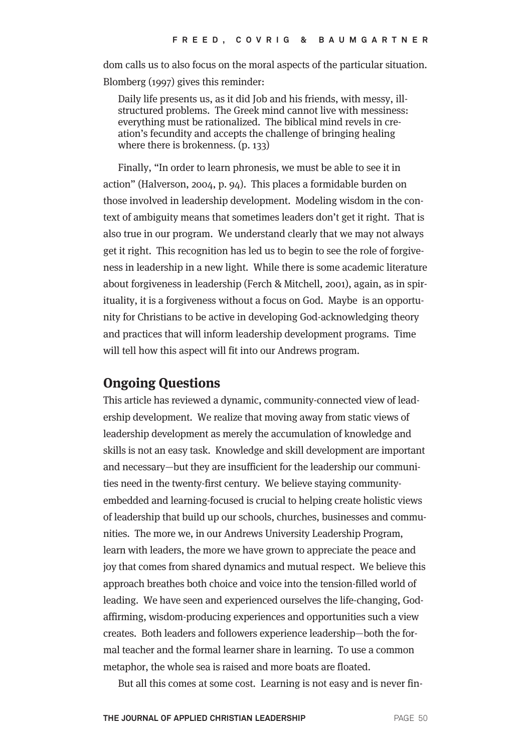dom calls us to also focus on the moral aspects of the particular situation. Blomberg (1997) gives this reminder:

Daily life presents us, as it did Job and his friends, with messy, illstructured problems. The Greek mind cannot live with messiness: everything must be rationalized. The biblical mind revels in creation's fecundity and accepts the challenge of bringing healing where there is brokenness. (p. 133)

Finally, "In order to learn phronesis, we must be able to see it in action" (Halverson, 2004, p. 94). This places a formidable burden on those involved in leadership development. Modeling wisdom in the context of ambiguity means that sometimes leaders don't get it right. That is also true in our program. We understand clearly that we may not always get it right. This recognition has led us to begin to see the role of forgiveness in leadership in a new light. While there is some academic literature about forgiveness in leadership (Ferch & Mitchell, 2001), again, as in spirituality, it is a forgiveness without a focus on God. Maybe is an opportunity for Christians to be active in developing God-acknowledging theory and practices that will inform leadership development programs. Time will tell how this aspect will fit into our Andrews program.

#### **Ongoing Questions**

This article has reviewed a dynamic, community-connected view of leadership development. We realize that moving away from static views of leadership development as merely the accumulation of knowledge and skills is not an easy task. Knowledge and skill development are important and necessary—but they are insufficient for the leadership our communities need in the twenty-first century. We believe staying communityembedded and learning-focused is crucial to helping create holistic views of leadership that build up our schools, churches, businesses and communities. The more we, in our Andrews University Leadership Program, learn with leaders, the more we have grown to appreciate the peace and joy that comes from shared dynamics and mutual respect. We believe this approach breathes both choice and voice into the tension-filled world of leading. We have seen and experienced ourselves the life-changing, Godaffirming, wisdom-producing experiences and opportunities such a view creates. Both leaders and followers experience leadership—both the formal teacher and the formal learner share in learning. To use a common metaphor, the whole sea is raised and more boats are floated.

But all this comes at some cost. Learning is not easy and is never fin-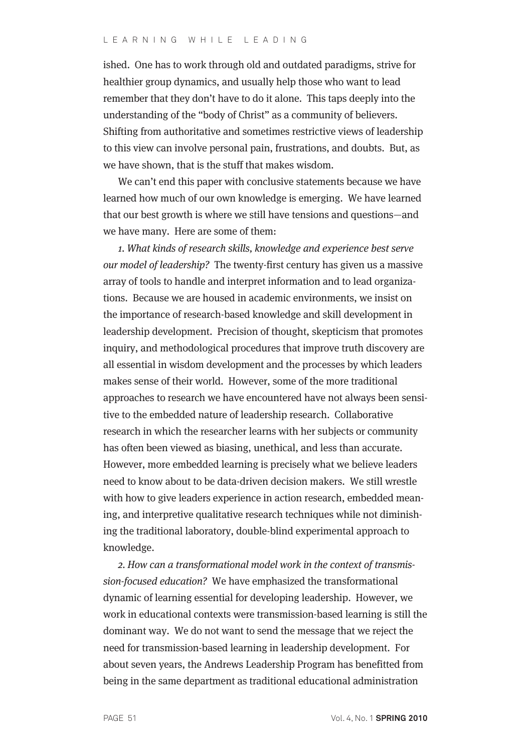ished. One has to work through old and outdated paradigms, strive for healthier group dynamics, and usually help those who want to lead remember that they don't have to do it alone. This taps deeply into the understanding of the "body of Christ" as a community of believers. Shifting from authoritative and sometimes restrictive views of leadership to this view can involve personal pain, frustrations, and doubts. But, as we have shown, that is the stuff that makes wisdom.

We can't end this paper with conclusive statements because we have learned how much of our own knowledge is emerging. We have learned that our best growth is where we still have tensions and questions—and we have many. Here are some of them:

1. What kinds of research skills, knowledge and experience best serve our model of leadership? The twenty-first century has given us a massive array of tools to handle and interpret information and to lead organizations. Because we are housed in academic environments, we insist on the importance of research-based knowledge and skill development in leadership development. Precision of thought, skepticism that promotes inquiry, and methodological procedures that improve truth discovery are all essential in wisdom development and the processes by which leaders makes sense of their world. However, some of the more traditional approaches to research we have encountered have not always been sensitive to the embedded nature of leadership research. Collaborative research in which the researcher learns with her subjects or community has often been viewed as biasing, unethical, and less than accurate. However, more embedded learning is precisely what we believe leaders need to know about to be data-driven decision makers. We still wrestle with how to give leaders experience in action research, embedded meaning, and interpretive qualitative research techniques while not diminishing the traditional laboratory, double-blind experimental approach to knowledge.

2. How can a transformational model work in the context of transmission-focused education? We have emphasized the transformational dynamic of learning essential for developing leadership. However, we work in educational contexts were transmission-based learning is still the dominant way. We do not want to send the message that we reject the need for transmission-based learning in leadership development. For about seven years, the Andrews Leadership Program has benefitted from being in the same department as traditional educational administration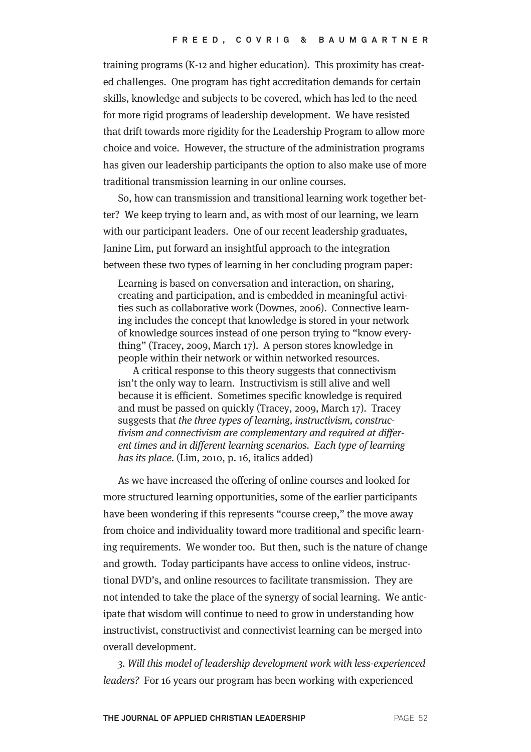training programs (K-12 and higher education). This proximity has created challenges. One program has tight accreditation demands for certain skills, knowledge and subjects to be covered, which has led to the need for more rigid programs of leadership development. We have resisted that drift towards more rigidity for the Leadership Program to allow more choice and voice. However, the structure of the administration programs has given our leadership participants the option to also make use of more traditional transmission learning in our online courses.

So, how can transmission and transitional learning work together better? We keep trying to learn and, as with most of our learning, we learn with our participant leaders. One of our recent leadership graduates, Janine Lim, put forward an insightful approach to the integration between these two types of learning in her concluding program paper:

Learning is based on conversation and interaction, on sharing, creating and participation, and is embedded in meaningful activities such as collaborative work (Downes, 2006). Connective learning includes the concept that knowledge is stored in your network of knowledge sources instead of one person trying to "know everything" (Tracey, 2009, March 17). A person stores knowledge in people within their network or within networked resources.

A critical response to this theory suggests that connectivism isn't the only way to learn. Instructivism is still alive and well because it is efficient. Sometimes specific knowledge is required and must be passed on quickly (Tracey, 2009, March 17). Tracey suggests that the three types of learning, instructivism, constructivism and connectivism are complementary and required at different times and in different learning scenarios. Each type of learning has its place. (Lim, 2010, p. 16, italics added)

As we have increased the offering of online courses and looked for more structured learning opportunities, some of the earlier participants have been wondering if this represents "course creep," the move away from choice and individuality toward more traditional and specific learning requirements. We wonder too. But then, such is the nature of change and growth. Today participants have access to online videos, instructional DVD's, and online resources to facilitate transmission. They are not intended to take the place of the synergy of social learning. We anticipate that wisdom will continue to need to grow in understanding how instructivist, constructivist and connectivist learning can be merged into overall development.

3. Will this model of leadership development work with less-experienced leaders? For 16 years our program has been working with experienced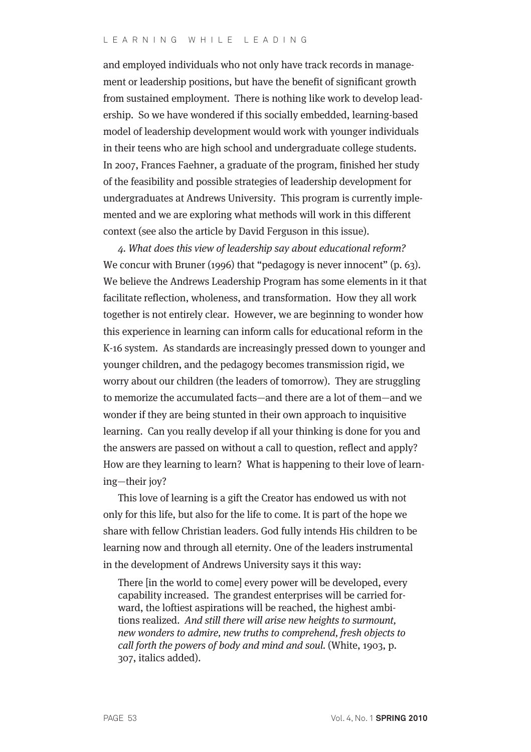#### LEARNING WHILE LEADING

and employed individuals who not only have track records in management or leadership positions, but have the benefit of significant growth from sustained employment. There is nothing like work to develop leadership. So we have wondered if this socially embedded, learning-based model of leadership development would work with younger individuals in their teens who are high school and undergraduate college students. In 2007, Frances Faehner, a graduate of the program, finished her study of the feasibility and possible strategies of leadership development for undergraduates at Andrews University. This program is currently implemented and we are exploring what methods will work in this different context (see also the article by David Ferguson in this issue).

4. What does this view of leadership say about educational reform? We concur with Bruner (1996) that "pedagogy is never innocent" (p. 63). We believe the Andrews Leadership Program has some elements in it that facilitate reflection, wholeness, and transformation. How they all work together is not entirely clear. However, we are beginning to wonder how this experience in learning can inform calls for educational reform in the K-16 system. As standards are increasingly pressed down to younger and younger children, and the pedagogy becomes transmission rigid, we worry about our children (the leaders of tomorrow). They are struggling to memorize the accumulated facts—and there are a lot of them—and we wonder if they are being stunted in their own approach to inquisitive learning. Can you really develop if all your thinking is done for you and the answers are passed on without a call to question, reflect and apply? How are they learning to learn? What is happening to their love of learning—their joy?

This love of learning is a gift the Creator has endowed us with not only for this life, but also for the life to come. It is part of the hope we share with fellow Christian leaders. God fully intends His children to be learning now and through all eternity. One of the leaders instrumental in the development of Andrews University says it this way:

There [in the world to come] every power will be developed, every capability increased. The grandest enterprises will be carried forward, the loftiest aspirations will be reached, the highest ambitions realized. And still there will arise new heights to surmount, new wonders to admire, new truths to comprehend, fresh objects to call forth the powers of body and mind and soul. (White, 1903, p. 307, italics added).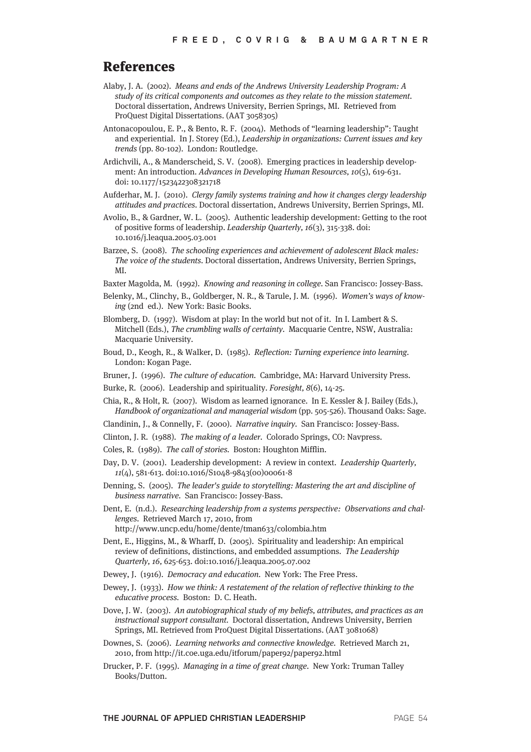#### References

- Alaby, J. A. (2002). Means and ends of the Andrews University Leadership Program: A study of its critical components and outcomes as they relate to the mission statement. Doctoral dissertation, Andrews University, Berrien Springs, MI. Retrieved from ProQuest Digital Dissertations. (AAT 3058305)
- Antonacopoulou, E. P., & Bento, R. F. (2004). Methods of "learning leadership": Taught and experiential. In J. Storey (Ed.), Leadership in organizations: Current issues and key trends (pp. 80-102). London: Routledge.
- Ardichvili, A., & Manderscheid, S. V. (2008). Emerging practices in leadership development: An introduction. Advances in Developing Human Resources, 10(5), 619-631. doi: 10.1177/1523422308321718
- Aufderhar, M. J. (2010). Clergy family systems training and how it changes clergy leadership attitudes and practices. Doctoral dissertation, Andrews University, Berrien Springs, MI.
- Avolio, B., & Gardner, W. L. (2005). Authentic leadership development: Getting to the root of positive forms of leadership. Leadership Quarterly, 16(3), 315-338. doi: 10.1016/j.leaqua.2005.03.001
- Barzee, S. (2008). The schooling experiences and achievement of adolescent Black males: The voice of the students. Doctoral dissertation, Andrews University, Berrien Springs, **MI**
- Baxter Magolda, M. (1992). Knowing and reasoning in college. San Francisco: Jossey-Bass.
- Belenky, M., Clinchy, B., Goldberger, N. R., & Tarule, J. M. (1996). Women's ways of knowing (2nd ed.). New York: Basic Books.
- Blomberg, D. (1997). Wisdom at play: In the world but not of it. In I. Lambert & S. Mitchell (Eds.), The crumbling walls of certainty. Macquarie Centre, NSW, Australia: Macquarie University.
- Boud, D., Keogh, R., & Walker, D. (1985). Reflection: Turning experience into learning. London: Kogan Page.
- Bruner, J. (1996). The culture of education. Cambridge, MA: Harvard University Press.
- Burke, R. (2006). Leadership and spirituality. Foresight, 8(6), 14-25.
- Chia, R., & Holt, R. (2007). Wisdom as learned ignorance. In E. Kessler & J. Bailey (Eds.), Handbook of organizational and managerial wisdom (pp. 505-526). Thousand Oaks: Sage.
- Clandinin, J., & Connelly, F. (2000). Narrative inquiry. San Francisco: Jossey-Bass.
- Clinton, J. R. (1988). The making of a leader. Colorado Springs, CO: Navpress.
- Coles, R. (1989). The call of stories. Boston: Houghton Mifflin.
- Day, D. V. (2001). Leadership development: A review in context. Leadership Quarterly, 11(4), 581-613. doi:10.1016/S1048-9843(00)00061-8
- Denning, S. (2005). The leader's guide to storytelling: Mastering the art and discipline of business narrative. San Francisco: Jossey-Bass.

Dent, E. (n.d.). Researching leadership from a systems perspective: Observations and challenges. Retrieved March 17, 2010, from http://www.uncp.edu/home/dente/tman633/colombia.htm

- Dent, E., Higgins, M., & Wharff, D. (2005). Spirituality and leadership: An empirical review of definitions, distinctions, and embedded assumptions. The Leadership Quarterly, 16, 625-653. doi:10.1016/j.leaqua.2005.07.002
- Dewey, J. (1916). Democracy and education. New York: The Free Press.
- Dewey, J. (1933). How we think: A restatement of the relation of reflective thinking to the educative process. Boston: D. C. Heath.
- Dove, J. W. (2003). An autobiographical study of my beliefs, attributes, and practices as an instructional support consultant. Doctoral dissertation, Andrews University, Berrien Springs, MI. Retrieved from ProQuest Digital Dissertations. (AAT 3081068)
- Downes, S. (2006). Learning networks and connective knowledge. Retrieved March 21, 2010, from http://it.coe.uga.edu/itforum/paper92/paper92.html
- Drucker, P. F. (1995). Managing in a time of great change. New York: Truman Talley Books/Dutton.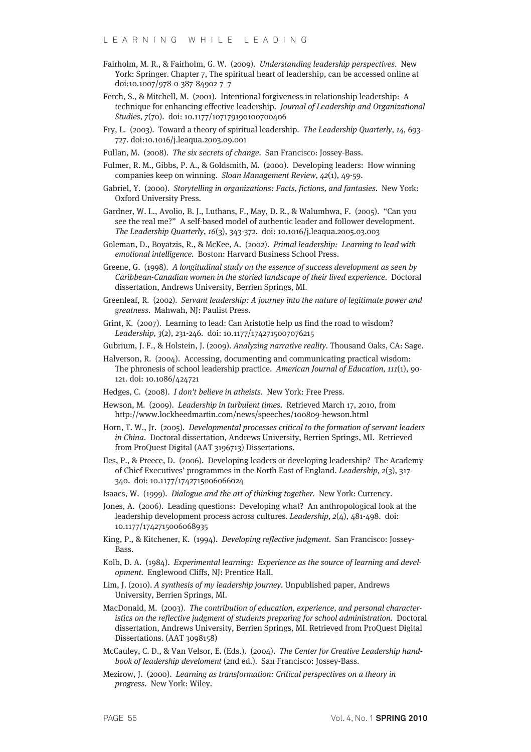- Fairholm, M. R., & Fairholm, G. W. (2009). Understanding leadership perspectives. New York: Springer. Chapter 7, The spiritual heart of leadership, can be accessed online at doi:10.1007/978-0-387-84902-7\_7
- Ferch, S., & Mitchell, M. (2001). Intentional forgiveness in relationship leadership: A technique for enhancing effective leadership. Journal of Leadership and Organizational Studies, 7(70). doi: 10.1177/107179190100700406
- Fry, L. (2003). Toward a theory of spiritual leadership. The Leadership Quarterly, 14, 693- 727. doi:10.1016/j.leaqua.2003.09.001
- Fullan, M. (2008). The six secrets of change. San Francisco: Jossey-Bass.
- Fulmer, R. M., Gibbs, P. A., & Goldsmith, M. (2000). Developing leaders: How winning companies keep on winning. Sloan Management Review, 42(1), 49-59.
- Gabriel, Y. (2000). Storytelling in organizations: Facts, fictions, and fantasies. New York: Oxford University Press.
- Gardner, W. L., Avolio, B. J., Luthans, F., May, D. R., & Walumbwa, F. (2005). "Can you see the real me?" A self-based model of authentic leader and follower development. The Leadership Quarterly, 16(3), 343-372. doi: 10.1016/j.leaqua.2005.03.003
- Goleman, D., Boyatzis, R., & McKee, A. (2002). Primal leadership: Learning to lead with emotional intelligence. Boston: Harvard Business School Press.
- Greene, G. (1998). A longitudinal study on the essence of success development as seen by Caribbean-Canadian women in the storied landscape of their lived experience. Doctoral dissertation, Andrews University, Berrien Springs, MI.
- Greenleaf, R. (2002). Servant leadership: A journey into the nature of legitimate power and greatness. Mahwah, NJ: Paulist Press.
- Grint, K. (2007). Learning to lead: Can Aristotle help us find the road to wisdom? Leadership, 3(2), 231-246. doi: 10.1177/1742715007076215
- Gubrium, J. F., & Holstein, J. (2009). Analyzing narrative reality. Thousand Oaks, CA: Sage.
- Halverson, R. (2004). Accessing, documenting and communicating practical wisdom: The phronesis of school leadership practice. American Journal of Education, 111(1), 90- 121. doi: 10.1086/424721
- Hedges, C. (2008). I don't believe in atheists. New York: Free Press.
- Hewson, M. (2009). Leadership in turbulent times. Retrieved March 17, 2010, from http://www.lockheedmartin.com/news/speeches/100809-hewson.html
- Horn, T. W., Jr. (2005). Developmental processes critical to the formation of servant leaders in China. Doctoral dissertation, Andrews University, Berrien Springs, MI. Retrieved from ProQuest Digital (AAT 3196713) Dissertations.
- Iles, P., & Preece, D. (2006). Developing leaders or developing leadership? The Academy of Chief Executives' programmes in the North East of England. Leadership, 2(3), 317- 340. doi: 10.1177/1742715006066024
- Isaacs, W. (1999). Dialogue and the art of thinking together. New York: Currency.
- Jones, A. (2006). Leading questions: Developing what? An anthropological look at the leadership development process across cultures. Leadership, 2(4), 481-498. doi: 10.1177/1742715006068935
- King, P., & Kitchener, K. (1994). Developing reflective judgment. San Francisco: Jossey-Bass.
- Kolb, D. A. (1984). Experimental learning: Experience as the source of learning and development. Englewood Cliffs, NJ: Prentice Hall.
- Lim, J. (2010). A synthesis of my leadership journey. Unpublished paper, Andrews University, Berrien Springs, MI.
- MacDonald, M. (2003). The contribution of education, experience, and personal characteristics on the reflective judgment of students preparing for school administration. Doctoral dissertation, Andrews University, Berrien Springs, MI. Retrieved from ProQuest Digital Dissertations. (AAT 3098158)
- McCauley, C. D., & Van Velsor, E. (Eds.). (2004). The Center for Creative Leadership handbook of leadership develoment (2nd ed.). San Francisco: Jossey-Bass.
- Mezirow, J. (2000). Learning as transformation: Critical perspectives on a theory in progress. New York: Wiley.